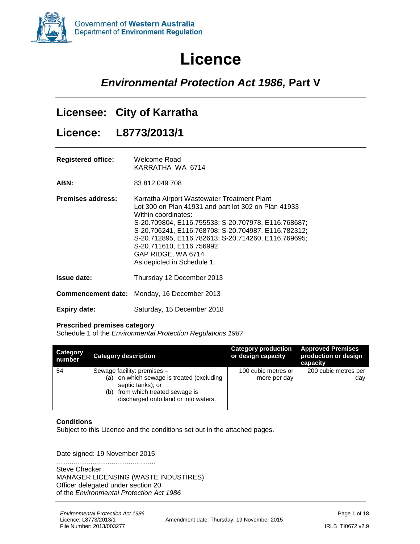<span id="page-0-0"></span>

# **Licence**

### *Environmental Protection Act 1986,* **Part V**

### **Licensee: City of Karratha**

**Licence: L8773/2013/1**

| <b>Registered office:</b> | Welcome Road     |  |  |  |  |
|---------------------------|------------------|--|--|--|--|
|                           | KARRATHA WA 6714 |  |  |  |  |

**ABN:** 83 812 049 708

| <b>Premises address:</b> | Karratha Airport Wastewater Treatment Plant<br>Lot 300 on Plan 41931 and part lot 302 on Plan 41933<br>Within coordinates:<br>S-20.709804, E116.755533; S-20.707978, E116.768687;<br>S-20.706241, E116.768708; S-20.704987, E116.782312;<br>S-20.712895, E116.782613; S-20.714260, E116.769695;<br>S-20.711610, E116.756992 |
|--------------------------|-----------------------------------------------------------------------------------------------------------------------------------------------------------------------------------------------------------------------------------------------------------------------------------------------------------------------------|
|                          | GAP RIDGE, WA 6714<br>As depicted in Schedule 1.                                                                                                                                                                                                                                                                            |

**Issue date:** Thursday 12 December 2013

**Commencement date:** Monday, 16 December 2013

**Expiry date:** Saturday, 15 December 2018

#### **Prescribed premises category**

Schedule 1 of the *Environmental Protection Regulations 1987*

| <b>Category</b><br>number | <b>Category description</b>                                                                                                                                                  | <b>Category production</b><br>or design capacity | <b>Approved Premises</b><br>production or design<br>capacity |
|---------------------------|------------------------------------------------------------------------------------------------------------------------------------------------------------------------------|--------------------------------------------------|--------------------------------------------------------------|
| 54                        | Sewage facility: premises -<br>(a) on which sewage is treated (excluding<br>septic tanks); or<br>from which treated sewage is<br>(b)<br>discharged onto land or into waters. | 100 cubic metres or<br>more per day              | 200 cubic metres per<br>day                                  |

#### **Conditions**

Subject to this Licence and the conditions set out in the attached pages.

#### Date signed: 19 November 2015

.................................................... Steve Checker MANAGER LICENSING (WASTE INDUSTIRES) Officer delegated under section 20 of the *Environmental Protection Act 1986*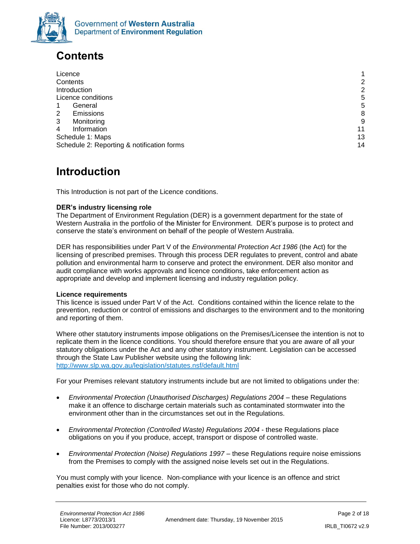

## <span id="page-1-0"></span>**Contents**

| Licence                                    | 1              |
|--------------------------------------------|----------------|
| Contents                                   | $\overline{2}$ |
| Introduction                               | $\overline{2}$ |
| Licence conditions                         | 5              |
| General                                    | 5              |
| Emissions<br>2                             | 8              |
| 3<br>Monitoring                            | 9              |
| Information<br>4                           | 11             |
| Schedule 1: Maps                           | 13             |
| Schedule 2: Reporting & notification forms | 14             |

### <span id="page-1-1"></span>**Introduction**

This Introduction is not part of the Licence conditions.

### **DER's industry licensing role**

The Department of Environment Regulation (DER) is a government department for the state of Western Australia in the portfolio of the Minister for Environment. DER's purpose is to protect and conserve the state's environment on behalf of the people of Western Australia.

DER has responsibilities under Part V of the *Environmental Protection Act 1986* (the Act) for the licensing of prescribed premises. Through this process DER regulates to prevent, control and abate pollution and environmental harm to conserve and protect the environment. DER also monitor and audit compliance with works approvals and licence conditions, take enforcement action as appropriate and develop and implement licensing and industry regulation policy.

#### **Licence requirements**

This licence is issued under Part V of the Act. Conditions contained within the licence relate to the prevention, reduction or control of emissions and discharges to the environment and to the monitoring and reporting of them.

Where other statutory instruments impose obligations on the Premises/Licensee the intention is not to replicate them in the licence conditions. You should therefore ensure that you are aware of all your statutory obligations under the Act and any other statutory instrument. Legislation can be accessed through the State Law Publisher website using the following link: <http://www.slp.wa.gov.au/legislation/statutes.nsf/default.html>

For your Premises relevant statutory instruments include but are not limited to obligations under the:

- *Environmental Protection (Unauthorised Discharges) Regulations 2004* these Regulations make it an offence to discharge certain materials such as contaminated stormwater into the environment other than in the circumstances set out in the Regulations.
- *Environmental Protection (Controlled Waste) Regulations 2004* these Regulations place obligations on you if you produce, accept, transport or dispose of controlled waste.
- **•** Environmental Protection (Noise) Regulations 1997 these Regulations require noise emissions from the Premises to comply with the assigned noise levels set out in the Regulations.

You must comply with your licence. Non-compliance with your licence is an offence and strict penalties exist for those who do not comply.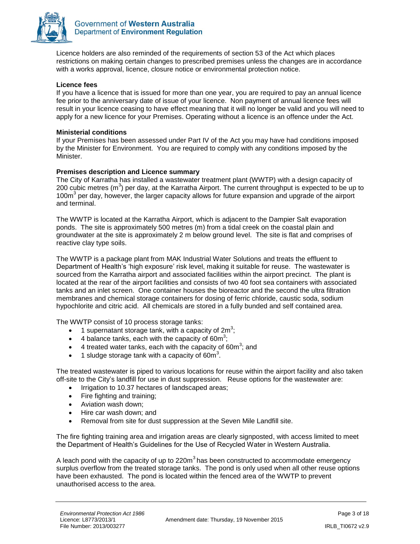

Licence holders are also reminded of the requirements of section 53 of the Act which places restrictions on making certain changes to prescribed premises unless the changes are in accordance with a works approval, licence, closure notice or environmental protection notice.

### **Licence fees**

If you have a licence that is issued for more than one year, you are required to pay an annual licence fee prior to the anniversary date of issue of your licence. Non payment of annual licence fees will result in your licence ceasing to have effect meaning that it will no longer be valid and you will need to apply for a new licence for your Premises. Operating without a licence is an offence under the Act.

### **Ministerial conditions**

If your Premises has been assessed under Part IV of the Act you may have had conditions imposed by the Minister for Environment. You are required to comply with any conditions imposed by the Minister.

### **Premises description and Licence summary**

The City of Karratha has installed a wastewater treatment plant (WWTP) with a design capacity of 200 cubic metres (m<sup>3</sup>) per day, at the Karratha Airport. The current throughput is expected to be up to 100m<sup>3</sup> per day, however, the larger capacity allows for future expansion and upgrade of the airport and terminal.

The WWTP is located at the Karratha Airport, which is adjacent to the Dampier Salt evaporation ponds. The site is approximately 500 metres (m) from a tidal creek on the coastal plain and groundwater at the site is approximately 2 m below ground level. The site is flat and comprises of reactive clay type soils.

The WWTP is a package plant from MAK Industrial Water Solutions and treats the effluent to Department of Health's 'high exposure' risk level, making it suitable for reuse. The wastewater is sourced from the Karratha airport and associated facilities within the airport precinct. The plant is located at the rear of the airport facilities and consists of two 40 foot sea containers with associated tanks and an inlet screen. One container houses the bioreactor and the second the ultra filtration membranes and chemical storage containers for dosing of ferric chloride, caustic soda, sodium hypochlorite and citric acid. All chemicals are stored in a fully bunded and self contained area.

The WWTP consist of 10 process storage tanks:

- 1 supernatant storage tank, with a capacity of  $2m^3$ ;
- $\bullet$  4 balance tanks, each with the capacity of 60m<sup>3</sup>;
- $\bullet$  4 treated water tanks, each with the capacity of 60m<sup>3</sup>; and
- 1 sludge storage tank with a capacity of 60 $m^3$ .

The treated wastewater is piped to various locations for reuse within the airport facility and also taken off-site to the City's landfill for use in dust suppression. Reuse options for the wastewater are:

- Irrigation to 10.37 hectares of landscaped areas;
- Fire fighting and training;
- Aviation wash down;
- Hire car wash down; and
- Removal from site for dust suppression at the Seven Mile Landfill site.

The fire fighting training area and irrigation areas are clearly signposted, with access limited to meet the Department of Health's Guidelines for the Use of Recycled Water in Western Australia.

A leach pond with the capacity of up to  $220m<sup>3</sup>$  has been constructed to accommodate emergency surplus overflow from the treated storage tanks. The pond is only used when all other reuse options have been exhausted. The pond is located within the fenced area of the WWTP to prevent unauthorised access to the area.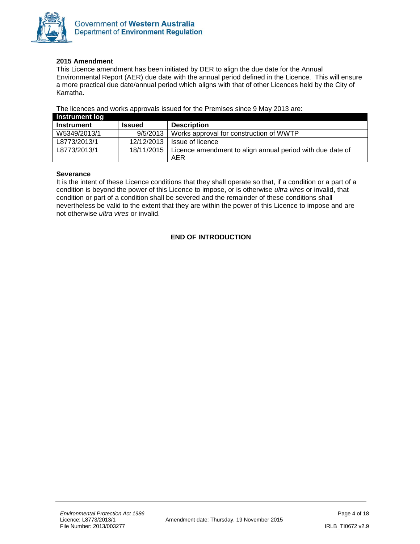

### **2015 Amendment**

This Licence amendment has been initiated by DER to align the due date for the Annual Environmental Report (AER) due date with the annual period defined in the Licence. This will ensure a more practical due date/annual period which aligns with that of other Licences held by the City of Karratha.

The licences and works approvals issued for the Premises since 9 May 2013 are:

| Instrument log    |               |                                                                        |
|-------------------|---------------|------------------------------------------------------------------------|
| <b>Instrument</b> | <b>Issued</b> | <b>Description</b>                                                     |
| W5349/2013/1      | 9/5/2013      | Works approval for construction of WWTP                                |
| L8773/2013/1      | 12/12/2013    | Issue of licence                                                       |
| L8773/2013/1      |               | 18/11/2015   Licence amendment to align annual period with due date of |
|                   |               | AER                                                                    |

#### **Severance**

It is the intent of these Licence conditions that they shall operate so that, if a condition or a part of a condition is beyond the power of this Licence to impose, or is otherwise *ultra vires* or invalid, that condition or part of a condition shall be severed and the remainder of these conditions shall nevertheless be valid to the extent that they are within the power of this Licence to impose and are not otherwise *ultra vires* or invalid.

### **END OF INTRODUCTION**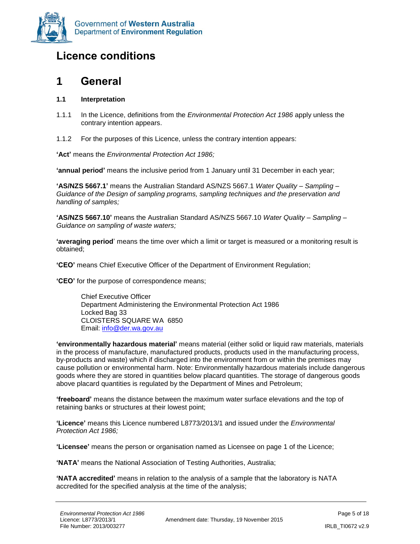

### <span id="page-4-0"></span>**Licence conditions**

### <span id="page-4-1"></span>**1 General**

### **1.1 Interpretation**

- 1.1.1 In the Licence, definitions from the *Environmental Protection Act 1986* apply unless the contrary intention appears.
- 1.1.2 For the purposes of this Licence, unless the contrary intention appears:

**'Act'** means the *Environmental Protection Act 1986;*

**'annual period'** means the inclusive period from 1 January until 31 December in each year;

**'AS/NZS 5667.1'** means the Australian Standard AS/NZS 5667.1 *Water Quality – Sampling – Guidance of the Design of sampling programs, sampling techniques and the preservation and handling of samples;*

**'AS/NZS 5667.10'** means the Australian Standard AS/NZS 5667.10 *Water Quality – Sampling – Guidance on sampling of waste waters;*

**'averaging period**' means the time over which a limit or target is measured or a monitoring result is obtained;

**'CEO'** means Chief Executive Officer of the Department of Environment Regulation;

**'CEO'** for the purpose of correspondence means;

Chief Executive Officer Department Administering the Environmental Protection Act 1986 Locked Bag 33 CLOISTERS SQUARE WA 6850 Email: [info@der.wa.gov.au](mailto:info@der.wa.gov.au)

**'environmentally hazardous material'** means material (either solid or liquid raw materials, materials in the process of manufacture, manufactured products, products used in the manufacturing process, by-products and waste) which if discharged into the environment from or within the premises may cause pollution or environmental harm. Note: Environmentally hazardous materials include dangerous goods where they are stored in quantities below placard quantities. The storage of dangerous goods above placard quantities is regulated by the Department of Mines and Petroleum;

**'freeboard'** means the distance between the maximum water surface elevations and the top of retaining banks or structures at their lowest point;

**'Licence'** means this Licence numbered L8773/2013/1 and issued under the *Environmental Protection Act 1986;*

**'Licensee'** means the person or organisation named as Licensee on page 1 of the Licence;

**'NATA'** means the National Association of Testing Authorities, Australia;

**'NATA accredited'** means in relation to the analysis of a sample that the laboratory is NATA accredited for the specified analysis at the time of the analysis;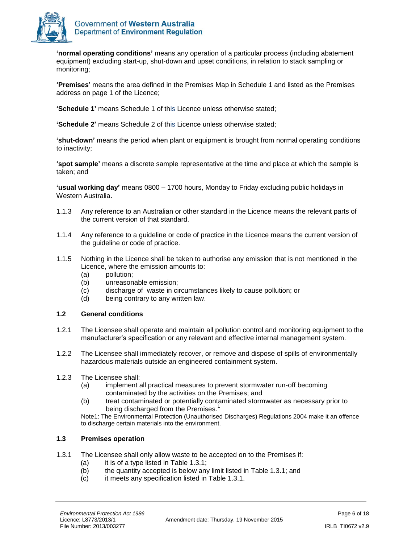

**'normal operating conditions'** means any operation of a particular process (including abatement equipment) excluding start-up, shut-down and upset conditions, in relation to stack sampling or monitoring;

**'Premises'** means the area defined in the Premises Map in Schedule 1 and listed as the Premises address on page 1 of the Licence;

**'Schedule 1'** means Schedule 1 of this Licence unless otherwise stated;

**'Schedule 2'** means Schedule 2 of this Licence unless otherwise stated;

**'shut-down'** means the period when plant or equipment is brought from normal operating conditions to inactivity;

**'spot sample'** means a discrete sample representative at the time and place at which the sample is taken; and

**'usual working day'** means 0800 – 1700 hours, Monday to Friday excluding public holidays in Western Australia.

- 1.1.3 Any reference to an Australian or other standard in the Licence means the relevant parts of the current version of that standard.
- 1.1.4 Any reference to a guideline or code of practice in the Licence means the current version of the guideline or code of practice.
- 1.1.5 Nothing in the Licence shall be taken to authorise any emission that is not mentioned in the Licence, where the emission amounts to:
	- (a) pollution;
	- (b) unreasonable emission;
	- (c) discharge of waste in circumstances likely to cause pollution; or
	- (d) being contrary to any written law.

#### **1.2 General conditions**

- 1.2.1 The Licensee shall operate and maintain all pollution control and monitoring equipment to the manufacturer's specification or any relevant and effective internal management system.
- 1.2.2 The Licensee shall immediately recover, or remove and dispose of spills of environmentally hazardous materials outside an engineered containment system.
- 1.2.3 The Licensee shall:
	- (a) implement all practical measures to prevent stormwater run-off becoming contaminated by the activities on the Premises; and
	- (b) treat contaminated or potentially contaminated stormwater as necessary prior to being discharged from the Premises.<sup>1</sup>

Note1: The Environmental Protection (Unauthorised Discharges) Regulations 2004 make it an offence to discharge certain materials into the environment.

### **1.3 Premises operation**

- 1.3.1 The Licensee shall only allow waste to be accepted on to the Premises if:
	- (a) it is of a type listed in Table  $1.3.1$ ;
	- (b) the quantity accepted is below any limit listed in [Table 1.3.1;](#page-6-0) and
	- (c) it meets any specification listed in [Table 1.3.1.](#page-6-0)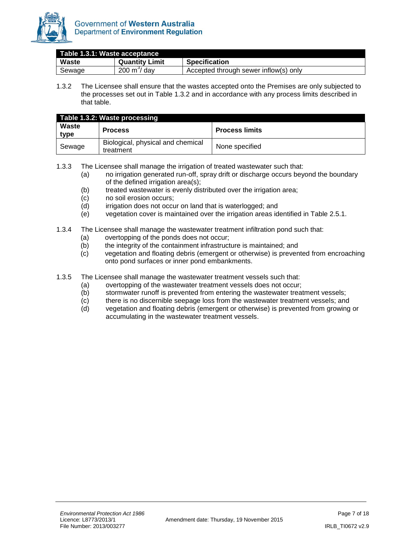

<span id="page-6-0"></span>

| Table 1.3.1: Waste acceptance |                       |                                       |
|-------------------------------|-----------------------|---------------------------------------|
| Waste                         | <b>Quantity Limit</b> | <b>Specification</b>                  |
| Sewage                        | $200 \text{ m}^3$ dav | Accepted through sewer inflow(s) only |

1.3.2 The Licensee shall ensure that the wastes accepted onto the Premises are only subjected to the processes set out in [Table 1.3.2](#page-6-1) and in accordance with any process limits described in that table.

<span id="page-6-1"></span>

|               | Table 1.3.2: Waste processing                  |                       |
|---------------|------------------------------------------------|-----------------------|
| Waste<br>type | <b>Process</b>                                 | <b>Process limits</b> |
| Sewage        | Biological, physical and chemical<br>treatment | None specified        |

1.3.3 The Licensee shall manage the irrigation of treated wastewater such that:

- (a) no irrigation generated run-off, spray drift or discharge occurs beyond the boundary of the defined irrigation area(s);
- (b) treated wastewater is evenly distributed over the irrigation area;
- (c) no soil erosion occurs;
- (d) irrigation does not occur on land that is waterlogged; and
- (e) vegetation cover is maintained over the irrigation areas identified in Table 2.5.1.
- 1.3.4 The Licensee shall manage the wastewater treatment infiltration pond such that:
	- (a) overtopping of the ponds does not occur;
	- (b) the integrity of the containment infrastructure is maintained; and
	- (c) vegetation and floating debris (emergent or otherwise) is prevented from encroaching onto pond surfaces or inner pond embankments.
- 1.3.5 The Licensee shall manage the wastewater treatment vessels such that:
	- (a) overtopping of the wastewater treatment vessels does not occur;
	- (b) stormwater runoff is prevented from entering the wastewater treatment vessels;
	- (c) there is no discernible seepage loss from the wastewater treatment vessels; and
	- (d) vegetation and floating debris (emergent or otherwise) is prevented from growing or accumulating in the wastewater treatment vessels.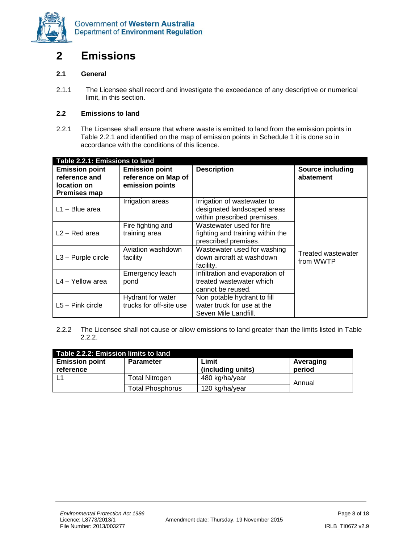

### <span id="page-7-0"></span>**2 Emissions**

### **2.1 General**

2.1.1 The Licensee shall record and investigate the exceedance of any descriptive or numerical limit, in this section.

#### **2.2 Emissions to land**

2.2.1 The Licensee shall ensure that where waste is emitted to land from the emission points in Table 2.2.1 and identified on the map of emission points in Schedule 1 it is done so in accordance with the conditions of this licence.

| Table 2.2.1: Emissions to land                                               |                                                                 |                                                                                           |                                 |  |  |
|------------------------------------------------------------------------------|-----------------------------------------------------------------|-------------------------------------------------------------------------------------------|---------------------------------|--|--|
| <b>Emission point</b><br>reference and<br>location on<br><b>Premises map</b> | <b>Emission point</b><br>reference on Map of<br>emission points | <b>Description</b>                                                                        | Source including<br>abatement   |  |  |
| $L1 - Blue area$                                                             | Irrigation areas                                                | Irrigation of wastewater to<br>designated landscaped areas<br>within prescribed premises. |                                 |  |  |
| $L2 - Red area$                                                              | Fire fighting and<br>training area                              | Wastewater used for fire<br>fighting and training within the<br>prescribed premises.      |                                 |  |  |
| $L3 -$ Purple circle                                                         | Aviation washdown<br>facility                                   | Wastewater used for washing<br>down aircraft at washdown<br>facility.                     | Treated wastewater<br>from WWTP |  |  |
| L4 - Yellow area                                                             | Emergency leach<br>pond                                         | Infiltration and evaporation of<br>treated wastewater which<br>cannot be reused.          |                                 |  |  |
| $L5 - Pink circle$                                                           | Hydrant for water<br>trucks for off-site use                    | Non potable hydrant to fill<br>water truck for use at the<br>Seven Mile Landfill.         |                                 |  |  |

2.2.2 The Licensee shall not cause or allow emissions to land greater than the limits listed in Table 2.2.2.

| Table 2.2.2: Emission limits to land |                         |                   |           |  |
|--------------------------------------|-------------------------|-------------------|-----------|--|
| <b>Emission point</b>                | <b>Parameter</b>        | Limit             | Averaging |  |
| reference                            |                         | (including units) | period    |  |
|                                      | Total Nitrogen          | 480 kg/ha/year    | Annual    |  |
|                                      | <b>Total Phosphorus</b> | 120 kg/ha/year    |           |  |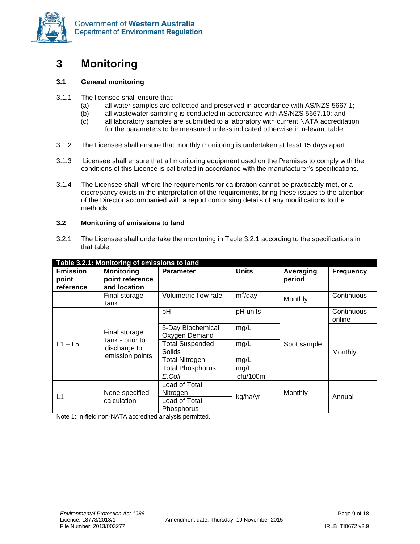

### <span id="page-8-0"></span>**3 Monitoring**

#### **3.1 General monitoring**

- 3.1.1 The licensee shall ensure that:
	- (a) all water samples are collected and preserved in accordance with AS/NZS 5667.1;
	- (b) all wastewater sampling is conducted in accordance with AS/NZS 5667.10; and
	- (c) all laboratory samples are submitted to a laboratory with current NATA accreditation for the parameters to be measured unless indicated otherwise in relevant table.
- 3.1.2 The Licensee shall ensure that monthly monitoring is undertaken at least 15 days apart.
- 3.1.3 Licensee shall ensure that all monitoring equipment used on the Premises to comply with the conditions of this Licence is calibrated in accordance with the manufacturer's specifications.
- 3.1.4 The Licensee shall, where the requirements for calibration cannot be practicably met, or a discrepancy exists in the interpretation of the requirements, bring these issues to the attention of the Director accompanied with a report comprising details of any modifications to the methods.

#### **3.2 Monitoring of emissions to land**

3.2.1 The Licensee shall undertake the monitoring in Table 3.2.1 according to the specifications in that table.

| Table 3.2.1: Monitoring of emissions to land |                                                                     |                                            |              |                     |                      |
|----------------------------------------------|---------------------------------------------------------------------|--------------------------------------------|--------------|---------------------|----------------------|
| <b>Emission</b><br>point                     | <b>Monitoring</b><br>point reference                                | <b>Parameter</b>                           | <b>Units</b> | Averaging<br>period | <b>Frequency</b>     |
| reference                                    | and location                                                        |                                            |              |                     |                      |
|                                              | Final storage<br>tank                                               | Volumetric flow rate                       | $m^3$ /day   | Monthly             | Continuous           |
|                                              | Final storage<br>tank - prior to<br>discharge to<br>emission points | pH <sup>1</sup>                            | pH units     |                     | Continuous<br>online |
| $L1 - L5$                                    |                                                                     | 5-Day Biochemical<br>Oxygen Demand         | mg/L         |                     |                      |
|                                              |                                                                     | <b>Total Suspended</b><br>Solids           | mg/L         | Spot sample         | Monthly              |
|                                              |                                                                     | <b>Total Nitrogen</b>                      | mg/L         |                     |                      |
|                                              |                                                                     | <b>Total Phosphorus</b>                    | mg/L         |                     |                      |
|                                              |                                                                     | E.Coli                                     | cfu/100ml    |                     |                      |
| L1                                           | None specified -<br>calculation                                     | Load of Total<br>Nitrogen<br>Load of Total | kg/ha/yr     | Monthly             | Annual               |
|                                              |                                                                     | Phosphorus                                 |              |                     |                      |

Note 1: In-field non-NATA accredited analysis permitted.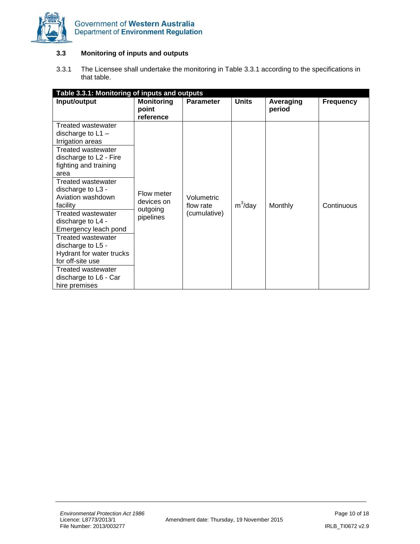

### **3.3 Monitoring of inputs and outputs**

3.3.1 The Licensee shall undertake the monitoring in Table 3.3.1 according to the specifications in that table.

| Table 3.3.1: Monitoring of inputs and outputs                                                                                                                                                                                                                                                                                                                                                                                                                                        |                                                   |                                         |              |                     |                  |
|--------------------------------------------------------------------------------------------------------------------------------------------------------------------------------------------------------------------------------------------------------------------------------------------------------------------------------------------------------------------------------------------------------------------------------------------------------------------------------------|---------------------------------------------------|-----------------------------------------|--------------|---------------------|------------------|
| Input/output                                                                                                                                                                                                                                                                                                                                                                                                                                                                         | <b>Monitoring</b><br>point<br>reference           | <b>Parameter</b>                        | <b>Units</b> | Averaging<br>period | <b>Frequency</b> |
| <b>Treated wastewater</b><br>discharge to $L1 -$<br>Irrigation areas<br><b>Treated wastewater</b><br>discharge to L2 - Fire<br>fighting and training<br>area<br>Treated wastewater<br>discharge to L3 -<br>Aviation washdown<br>facility<br>Treated wastewater<br>discharge to L4 -<br>Emergency leach pond<br><b>Treated wastewater</b><br>discharge to L5 -<br>Hydrant for water trucks<br>for off-site use<br><b>Treated wastewater</b><br>discharge to L6 - Car<br>hire premises | Flow meter<br>devices on<br>outgoing<br>pipelines | Volumetric<br>flow rate<br>(cumulative) | $m^3$ /day   | Monthly             | Continuous       |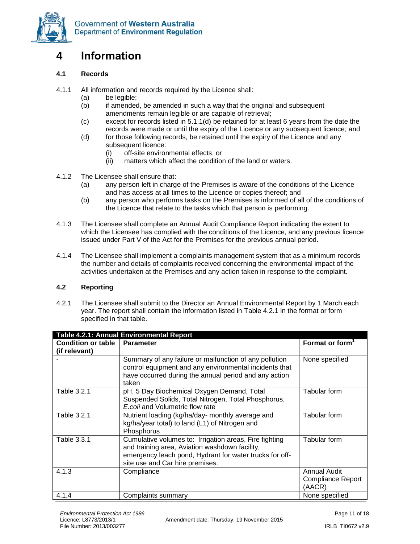

### <span id="page-10-0"></span>**4 Information**

### **4.1 Records**

- 4.1.1 All information and records required by the Licence shall:
	- (a) be legible;
	- (b) if amended, be amended in such a way that the original and subsequent amendments remain legible or are capable of retrieval;
	- (c) except for records listed in 5.1.1(d) be retained for at least 6 years from the date the records were made or until the expiry of the Licence or any subsequent licence; and
	- (d) for those following records, be retained until the expiry of the Licence and any subsequent licence:
		- (i) off-site environmental effects; or
		- (ii) matters which affect the condition of the land or waters.
- 4.1.2 The Licensee shall ensure that:
	- (a) any person left in charge of the Premises is aware of the conditions of the Licence and has access at all times to the Licence or copies thereof; and
	- (b) any person who performs tasks on the Premises is informed of all of the conditions of the Licence that relate to the tasks which that person is performing.
- 4.1.3 The Licensee shall complete an Annual Audit Compliance Report indicating the extent to which the Licensee has complied with the conditions of the Licence, and any previous licence issued under Part V of the Act for the Premises for the previous annual period.
- 4.1.4 The Licensee shall implement a complaints management system that as a minimum records the number and details of complaints received concerning the environmental impact of the activities undertaken at the Premises and any action taken in response to the complaint.

### **4.2 Reporting**

4.2.1 The Licensee shall submit to the Director an Annual Environmental Report by 1 March each year. The report shall contain the information listed in Table 4.2.1 in the format or form specified in that table.

| <b>Table 4.2.1: Annual Environmental Report</b> |                                                         |                             |  |  |
|-------------------------------------------------|---------------------------------------------------------|-----------------------------|--|--|
| <b>Condition or table</b>                       | <b>Parameter</b>                                        | Format or form <sup>1</sup> |  |  |
| (if relevant)                                   |                                                         |                             |  |  |
|                                                 | Summary of any failure or malfunction of any pollution  | None specified              |  |  |
|                                                 | control equipment and any environmental incidents that  |                             |  |  |
|                                                 | have occurred during the annual period and any action   |                             |  |  |
|                                                 | taken                                                   |                             |  |  |
| Table 3.2.1                                     | pH, 5 Day Biochemical Oxygen Demand, Total              | Tabular form                |  |  |
|                                                 | Suspended Solids, Total Nitrogen, Total Phosphorus,     |                             |  |  |
|                                                 | E.coli and Volumetric flow rate                         |                             |  |  |
| Table 3.2.1                                     | Nutrient loading (kg/ha/day- monthly average and        | Tabular form                |  |  |
|                                                 | kg/ha/year total) to land (L1) of Nitrogen and          |                             |  |  |
|                                                 | Phosphorus                                              |                             |  |  |
| Table 3.3.1                                     | Cumulative volumes to: Irrigation areas, Fire fighting  | Tabular form                |  |  |
|                                                 | and training area, Aviation washdown facility,          |                             |  |  |
|                                                 | emergency leach pond, Hydrant for water trucks for off- |                             |  |  |
|                                                 | site use and Car hire premises.                         |                             |  |  |
| 4.1.3                                           | Compliance                                              | Annual Audit                |  |  |
|                                                 |                                                         | <b>Compliance Report</b>    |  |  |
|                                                 |                                                         | (AACR)                      |  |  |
| 4.1.4                                           | Complaints summary                                      | None specified              |  |  |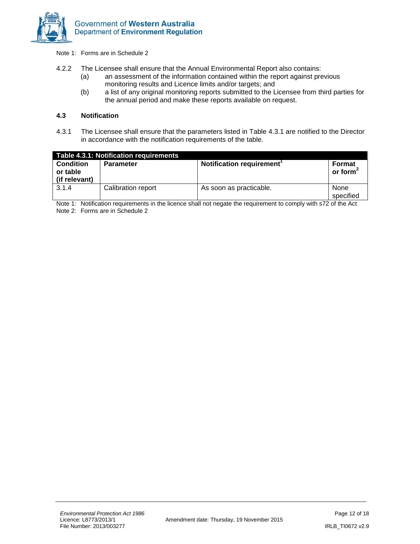

Note 1: Forms are in Schedule 2

- 4.2.2 The Licensee shall ensure that the Annual Environmental Report also contains:
	- (a) an assessment of the information contained within the report against previous monitoring results and Licence limits and/or targets; and
	- (b) a list of any original monitoring reports submitted to the Licensee from third parties for the annual period and make these reports available on request.

#### **4.3 Notification**

4.3.1 The Licensee shall ensure that the parameters listed in Table 4.3.1 are notified to the Director in accordance with the notification requirements of the table.

|                                               | Table 4.3.1: Notification requirements |                          |                       |
|-----------------------------------------------|----------------------------------------|--------------------------|-----------------------|
| <b>Condition</b><br>or table<br>(if relevant) | <b>Parameter</b>                       | Notification requirement | Format<br>or form $2$ |
| 3.1.4                                         | Calibration report                     | As soon as practicable.  | None<br>specified     |

Note 1: Notification requirements in the licence shall not negate the requirement to comply with s72 of the Act Note 2: Forms are in Schedule 2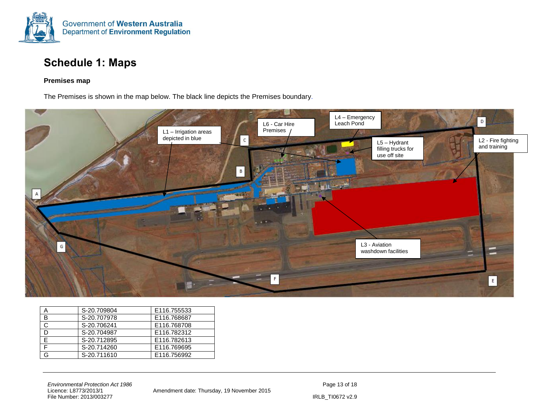

### **Schedule 1: Maps**

#### **Premises map**

The Premises is shown in the map below. The black line depicts the Premises boundary.

<span id="page-12-0"></span>

|   | S-20.709804 | E116.755533 |
|---|-------------|-------------|
| B | S-20.707978 | E116.768687 |
|   | S-20.706241 | E116.768708 |
| D | S-20.704987 | E116.782312 |
|   | S-20.712895 | E116.782613 |
|   | S-20.714260 | E116.769695 |
|   | S-20.711610 | E116.756992 |

*Environmental Protection Act 1986*<br>
Licence: L8773/2013/1 **Page 13 of 18**<br>
Amendment date: Thursday, 19 November 2015 File Number: 2013/003277 IRLB\_TI0672 v2.9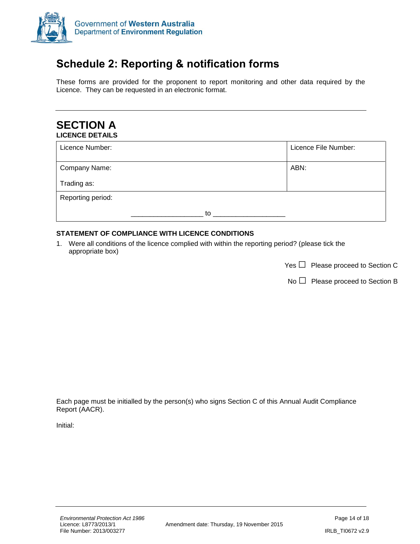

## <span id="page-13-0"></span>**Schedule 2: Reporting & notification forms**

These forms are provided for the proponent to report monitoring and other data required by the Licence. They can be requested in an electronic format.

### **SECTION A LICENCE DETAILS**

| Licence Number:   |    | Licence File Number: |
|-------------------|----|----------------------|
| Company Name:     |    | ABN:                 |
| Trading as:       |    |                      |
| Reporting period: |    |                      |
|                   | to |                      |

### **STATEMENT OF COMPLIANCE WITH LICENCE CONDITIONS**

1. Were all conditions of the licence complied with within the reporting period? (please tick the appropriate box)

| Yes $\Box$ Please proceed to Section C |
|----------------------------------------|

 $No \Box$  Please proceed to Section B

Each page must be initialled by the person(s) who signs Section C of this Annual Audit Compliance Report (AACR).

Initial: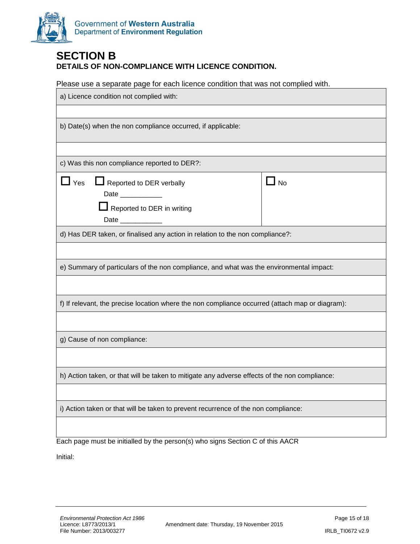

### **SECTION B DETAILS OF NON-COMPLIANCE WITH LICENCE CONDITION.**

Please use a separate page for each licence condition that was not complied with.

| a) Licence condition not complied with:                                                         |           |  |
|-------------------------------------------------------------------------------------------------|-----------|--|
|                                                                                                 |           |  |
| b) Date(s) when the non compliance occurred, if applicable:                                     |           |  |
|                                                                                                 |           |  |
| c) Was this non compliance reported to DER?:                                                    |           |  |
| $\Box$ Yes<br>Reported to DER verbally<br>Date __________<br>$\Box$ Reported to DER in writing  | $\Box$ No |  |
| Date ____________                                                                               |           |  |
| d) Has DER taken, or finalised any action in relation to the non compliance?:                   |           |  |
|                                                                                                 |           |  |
| e) Summary of particulars of the non compliance, and what was the environmental impact:         |           |  |
|                                                                                                 |           |  |
| f) If relevant, the precise location where the non compliance occurred (attach map or diagram): |           |  |
|                                                                                                 |           |  |
| g) Cause of non compliance:                                                                     |           |  |
|                                                                                                 |           |  |
| h) Action taken, or that will be taken to mitigate any adverse effects of the non compliance:   |           |  |
|                                                                                                 |           |  |
| i) Action taken or that will be taken to prevent recurrence of the non compliance:              |           |  |
|                                                                                                 |           |  |
| Each page must be initialled by the person(s) who signs Section C of this AACR                  |           |  |

Initial: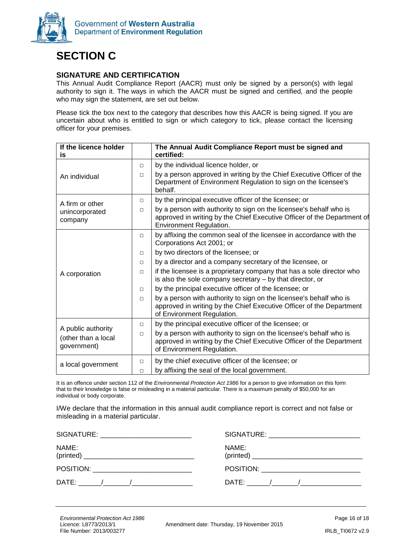

## **SECTION C**

### **SIGNATURE AND CERTIFICATION**

This Annual Audit Compliance Report (AACR) must only be signed by a person(s) with legal authority to sign it. The ways in which the AACR must be signed and certified, and the people who may sign the statement, are set out below.

Please tick the box next to the category that describes how this AACR is being signed. If you are uncertain about who is entitled to sign or which category to tick, please contact the licensing officer for your premises.

| If the licence holder                                    |        | The Annual Audit Compliance Report must be signed and<br>certified:                                                                                                      |
|----------------------------------------------------------|--------|--------------------------------------------------------------------------------------------------------------------------------------------------------------------------|
| is                                                       |        |                                                                                                                                                                          |
|                                                          | $\Box$ | by the individual licence holder, or                                                                                                                                     |
| An individual                                            | $\Box$ | by a person approved in writing by the Chief Executive Officer of the<br>Department of Environment Regulation to sign on the licensee's<br>behalf.                       |
| A firm or other                                          | $\Box$ | by the principal executive officer of the licensee; or                                                                                                                   |
| unincorporated                                           | $\Box$ | by a person with authority to sign on the licensee's behalf who is                                                                                                       |
| company                                                  |        | approved in writing by the Chief Executive Officer of the Department of<br>Environment Regulation.                                                                       |
|                                                          | $\Box$ | by affixing the common seal of the licensee in accordance with the<br>Corporations Act 2001; or                                                                          |
|                                                          | $\Box$ | by two directors of the licensee; or                                                                                                                                     |
|                                                          | $\Box$ | by a director and a company secretary of the licensee, or                                                                                                                |
| A corporation                                            | $\Box$ | if the licensee is a proprietary company that has a sole director who<br>is also the sole company secretary - by that director, or                                       |
|                                                          | $\Box$ | by the principal executive officer of the licensee; or                                                                                                                   |
|                                                          | $\Box$ | by a person with authority to sign on the licensee's behalf who is<br>approved in writing by the Chief Executive Officer of the Department<br>of Environment Regulation. |
|                                                          | $\Box$ | by the principal executive officer of the licensee; or                                                                                                                   |
| A public authority<br>(other than a local<br>government) | $\Box$ | by a person with authority to sign on the licensee's behalf who is<br>approved in writing by the Chief Executive Officer of the Department<br>of Environment Regulation. |
| a local government                                       | $\Box$ | by the chief executive officer of the licensee; or                                                                                                                       |
|                                                          | $\Box$ | by affixing the seal of the local government.                                                                                                                            |

It is an offence under section 112 of the *Environmental Protection Act 1986* for a person to give information on this form that to their knowledge is false or misleading in a material particular. There is a maximum penalty of \$50,000 for an individual or body corporate.

I/We declare that the information in this annual audit compliance report is correct and not false or misleading in a material particular.

| SIGNATURE:                                                                                                                                                                                                                                                                                                                     | SIGNATURE:                                                                                                                                                                                                                    |
|--------------------------------------------------------------------------------------------------------------------------------------------------------------------------------------------------------------------------------------------------------------------------------------------------------------------------------|-------------------------------------------------------------------------------------------------------------------------------------------------------------------------------------------------------------------------------|
| <u> 1989 - John Stein, Amerikaansk politiker (</u>                                                                                                                                                                                                                                                                             | the control of the control of the control of the control of the control of the control of the control of the control of the control of the control of the control of the control of the control of the control of the control |
| NAME:                                                                                                                                                                                                                                                                                                                          | NAME:                                                                                                                                                                                                                         |
|                                                                                                                                                                                                                                                                                                                                |                                                                                                                                                                                                                               |
| POSITION: ____________________________                                                                                                                                                                                                                                                                                         | POSITION: __________________________                                                                                                                                                                                          |
| DATE: /<br>$\frac{1}{2}$ $\frac{1}{2}$ $\frac{1}{2}$ $\frac{1}{2}$ $\frac{1}{2}$ $\frac{1}{2}$ $\frac{1}{2}$ $\frac{1}{2}$ $\frac{1}{2}$ $\frac{1}{2}$ $\frac{1}{2}$ $\frac{1}{2}$ $\frac{1}{2}$ $\frac{1}{2}$ $\frac{1}{2}$ $\frac{1}{2}$ $\frac{1}{2}$ $\frac{1}{2}$ $\frac{1}{2}$ $\frac{1}{2}$ $\frac{1}{2}$ $\frac{1}{2}$ | DATE: <u>/______/___________</u>                                                                                                                                                                                              |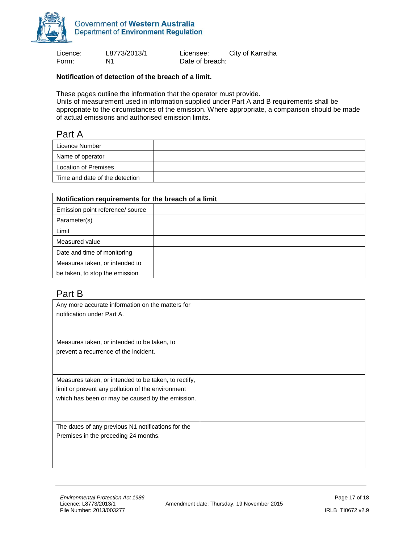

Form: N1 N1 Date of breach:

Licence: L8773/2013/1 Licensee: City of Karratha

### **Notification of detection of the breach of a limit.**

These pages outline the information that the operator must provide.

Units of measurement used in information supplied under Part A and B requirements shall be appropriate to the circumstances of the emission. Where appropriate, a comparison should be made of actual emissions and authorised emission limits.

### Part A

| Licence Number                 |  |
|--------------------------------|--|
| Name of operator               |  |
| Location of Premises           |  |
| Time and date of the detection |  |

| Notification requirements for the breach of a limit |  |  |
|-----------------------------------------------------|--|--|
| Emission point reference/ source                    |  |  |
| Parameter(s)                                        |  |  |
| Limit                                               |  |  |
| Measured value                                      |  |  |
| Date and time of monitoring                         |  |  |
| Measures taken, or intended to                      |  |  |
| be taken, to stop the emission                      |  |  |

### Part B

| Any more accurate information on the matters for<br>notification under Part A. |  |
|--------------------------------------------------------------------------------|--|
| Measures taken, or intended to be taken, to                                    |  |
| prevent a recurrence of the incident.                                          |  |
| Measures taken, or intended to be taken, to rectify,                           |  |
| limit or prevent any pollution of the environment                              |  |
| which has been or may be caused by the emission.                               |  |
| The dates of any previous N1 notifications for the                             |  |
| Premises in the preceding 24 months.                                           |  |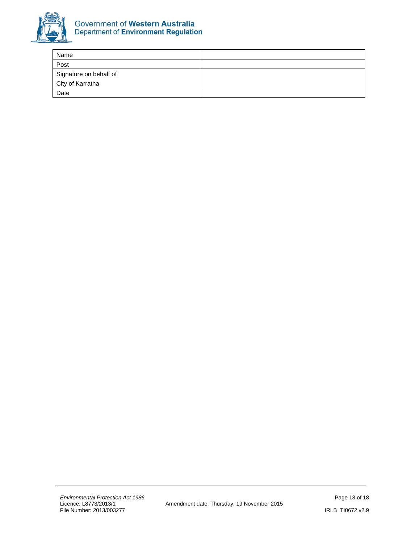

| Name                   |  |
|------------------------|--|
| Post                   |  |
| Signature on behalf of |  |
| City of Karratha       |  |
| Date                   |  |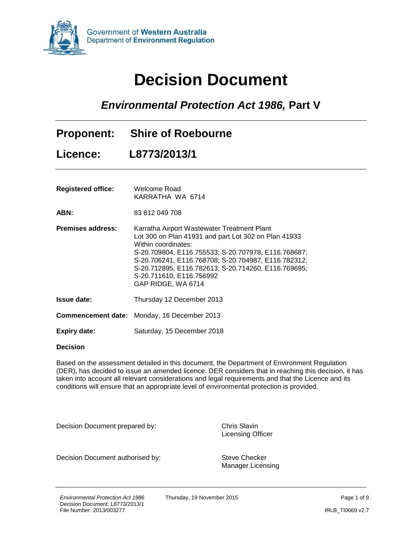<span id="page-18-0"></span>

# **Decision Document**

*Environmental Protection Act 1986,* **Part V**

| <b>Proponent:</b>         | <b>Shire of Roebourne</b>                                                                                                                                                                                                                                                                                                                         |
|---------------------------|---------------------------------------------------------------------------------------------------------------------------------------------------------------------------------------------------------------------------------------------------------------------------------------------------------------------------------------------------|
| Licence:                  | L8773/2013/1                                                                                                                                                                                                                                                                                                                                      |
| <b>Registered office:</b> | Welcome Road<br>KARRATHA WA 6714                                                                                                                                                                                                                                                                                                                  |
| ABN:                      | 83 812 049 708                                                                                                                                                                                                                                                                                                                                    |
| <b>Premises address:</b>  | Karratha Airport Wastewater Treatment Plant<br>Lot 300 on Plan 41931 and part Lot 302 on Plan 41933<br>Within coordinates:<br>S-20.709804, E116.755533; S-20.707978, E116.768687;<br>S-20.706241, E116.768708; S-20.704987, E116.782312;<br>S-20.712895, E116.782613; S-20.714260, E116.769695;<br>S-20.711610, E116.756992<br>GAP RIDGE, WA 6714 |
| <b>Issue date:</b>        | Thursday 12 December 2013                                                                                                                                                                                                                                                                                                                         |
|                           | <b>Commencement date:</b> Monday, 16 December 2013                                                                                                                                                                                                                                                                                                |
| <b>Expiry date:</b>       | Saturday, 15 December 2018                                                                                                                                                                                                                                                                                                                        |

#### **Decision**

Based on the assessment detailed in this document, the Department of Environment Regulation (DER), has decided to issue an amended licence. DER considers that in reaching this decision, it has taken into account all relevant considerations and legal requirements and that the Licence and its conditions will ensure that an appropriate level of environmental protection is provided.

Decision Document prepared by: Chris Slavin

Licensing Officer

Decision Document authorised by: Steve Checker

Manager Licensing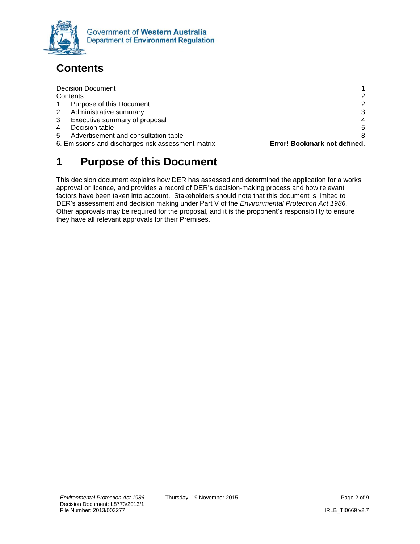

## <span id="page-19-0"></span>**Contents**

| <b>Decision Document</b>                           |                              |
|----------------------------------------------------|------------------------------|
| Contents                                           | 2                            |
| Purpose of this Document<br>1                      | $\overline{2}$               |
| $^{2}$<br>Administrative summary                   | 3                            |
| 3<br>Executive summary of proposal                 | 4                            |
| 4<br>Decision table                                | 5                            |
| Advertisement and consultation table<br>5.         | 8                            |
| 6. Emissions and discharges risk assessment matrix | Error! Bookmark not defined. |
|                                                    |                              |

### <span id="page-19-1"></span>**1 Purpose of this Document**

This decision document explains how DER has assessed and determined the application for a works approval or licence, and provides a record of DER's decision-making process and how relevant factors have been taken into account. Stakeholders should note that this document is limited to DER's assessment and decision making under Part V of the *Environmental Protection Act 1986.*  Other approvals may be required for the proposal, and it is the proponent's responsibility to ensure they have all relevant approvals for their Premises.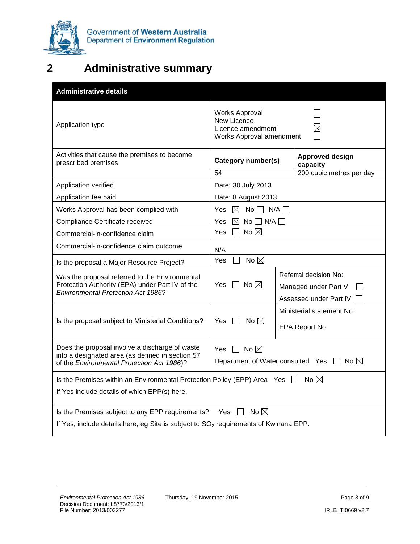

## <span id="page-20-0"></span>**2 Administrative summary**

| <b>Administrative details</b>                                                                                                                                                     |                                                                                       |                    |                                                                         |  |  |
|-----------------------------------------------------------------------------------------------------------------------------------------------------------------------------------|---------------------------------------------------------------------------------------|--------------------|-------------------------------------------------------------------------|--|--|
| Application type                                                                                                                                                                  | <b>Works Approval</b><br>New Licence<br>Licence amendment<br>Works Approval amendment |                    |                                                                         |  |  |
| Activities that cause the premises to become<br>prescribed premises                                                                                                               | Category number(s)<br>54                                                              |                    | <b>Approved design</b><br>capacity<br>200 cubic metres per day          |  |  |
| Application verified                                                                                                                                                              | Date: 30 July 2013                                                                    |                    |                                                                         |  |  |
| Application fee paid                                                                                                                                                              | Date: 8 August 2013                                                                   |                    |                                                                         |  |  |
| Works Approval has been complied with                                                                                                                                             | Yes $\boxtimes$ No $\Box$ N/A $\Box$                                                  |                    |                                                                         |  |  |
| Compliance Certificate received                                                                                                                                                   | M<br>Yes                                                                              | $No \Box N/A \Box$ |                                                                         |  |  |
| Commercial-in-confidence claim                                                                                                                                                    | No $\boxtimes$<br>Yes<br>$\blacksquare$                                               |                    |                                                                         |  |  |
| Commercial-in-confidence claim outcome                                                                                                                                            | N/A                                                                                   |                    |                                                                         |  |  |
| Is the proposal a Major Resource Project?                                                                                                                                         | No $\boxtimes$<br>Yes                                                                 |                    |                                                                         |  |  |
| Was the proposal referred to the Environmental<br>Protection Authority (EPA) under Part IV of the<br>Environmental Protection Act 1986?                                           | No $\boxtimes$<br>Yes<br>$\mathbf{1}$                                                 |                    | Referral decision No:<br>Managed under Part V<br>Assessed under Part IV |  |  |
| Is the proposal subject to Ministerial Conditions?                                                                                                                                | Yes $\Box$ No $\boxtimes$                                                             |                    | Ministerial statement No:<br>EPA Report No:                             |  |  |
| Does the proposal involve a discharge of waste<br>into a designated area (as defined in section 57<br>of the Environmental Protection Act 1986)?                                  | Yes $\Box$ No $\boxtimes$<br>Department of Water consulted Yes $\Box$ No $\boxtimes$  |                    |                                                                         |  |  |
| Is the Premises within an Environmental Protection Policy (EPP) Area Yes $\Box$<br>No $\boxtimes$<br>If Yes include details of which EPP(s) here.                                 |                                                                                       |                    |                                                                         |  |  |
| Yes $\Box$ No $\boxtimes$<br>Is the Premises subject to any EPP requirements?<br>If Yes, include details here, eg Site is subject to SO <sub>2</sub> requirements of Kwinana EPP. |                                                                                       |                    |                                                                         |  |  |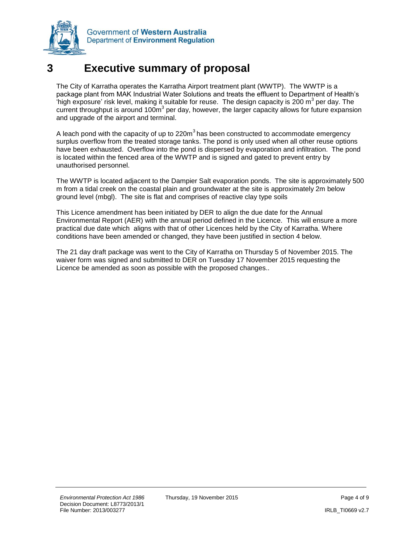

### <span id="page-21-0"></span>**3 Executive summary of proposal**

The City of Karratha operates the Karratha Airport treatment plant (WWTP). The WWTP is a package plant from MAK Industrial Water Solutions and treats the effluent to Department of Health's  $\dot{a}$  high exposure' risk level, making it suitable for reuse. The design capacity is 200 m<sup>3</sup> per day. The current throughput is around 100 $\mathrm{m}^3$  per day, however, the larger capacity allows for future expansion and upgrade of the airport and terminal.

A leach pond with the capacity of up to 220 $m<sup>3</sup>$  has been constructed to accommodate emergency surplus overflow from the treated storage tanks. The pond is only used when all other reuse options have been exhausted. Overflow into the pond is dispersed by evaporation and infiltration. The pond is located within the fenced area of the WWTP and is signed and gated to prevent entry by unauthorised personnel.

The WWTP is located adjacent to the Dampier Salt evaporation ponds. The site is approximately 500 m from a tidal creek on the coastal plain and groundwater at the site is approximately 2m below ground level (mbgl). The site is flat and comprises of reactive clay type soils

This Licence amendment has been initiated by DER to align the due date for the Annual Environmental Report (AER) with the annual period defined in the Licence. This will ensure a more practical due date which aligns with that of other Licences held by the City of Karratha. Where conditions have been amended or changed, they have been justified in section 4 below.

The 21 day draft package was went to the City of Karratha on Thursday 5 of November 2015. The waiver form was signed and submitted to DER on Tuesday 17 November 2015 requesting the Licence be amended as soon as possible with the proposed changes..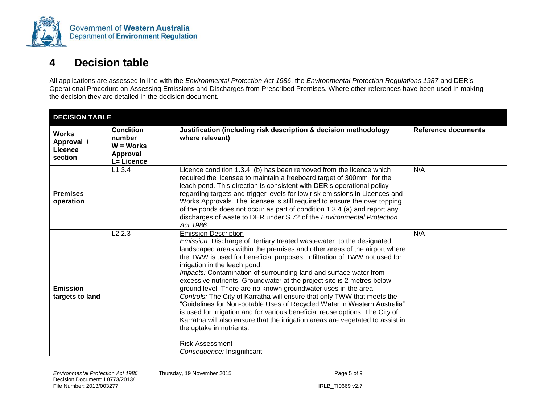

### **4 Decision table**

All applications are assessed in line with the *Environmental Protection Act 1986*, the *Environmental Protection Regulations 1987* and DER's Operational Procedure on Assessing Emissions and Discharges from Prescribed Premises. Where other references have been used in making the decision they are detailed in the decision document.

<span id="page-22-0"></span>

| <b>DECISION TABLE</b>                            |                                                                     |                                                                                                                                                                                                                                                                                                                                                                                                                                                                                                                                                                                                                                                                                                                                                                                                                                                                                                                              |                     |  |  |
|--------------------------------------------------|---------------------------------------------------------------------|------------------------------------------------------------------------------------------------------------------------------------------------------------------------------------------------------------------------------------------------------------------------------------------------------------------------------------------------------------------------------------------------------------------------------------------------------------------------------------------------------------------------------------------------------------------------------------------------------------------------------------------------------------------------------------------------------------------------------------------------------------------------------------------------------------------------------------------------------------------------------------------------------------------------------|---------------------|--|--|
| <b>Works</b><br>Approval /<br>Licence<br>section | <b>Condition</b><br>number<br>$W = WorkS$<br>Approval<br>L= Licence | Justification (including risk description & decision methodology<br>where relevant)                                                                                                                                                                                                                                                                                                                                                                                                                                                                                                                                                                                                                                                                                                                                                                                                                                          | Reference documents |  |  |
| <b>Premises</b><br>operation                     | L1.3.4                                                              | Licence condition 1.3.4 (b) has been removed from the licence which<br>required the licensee to maintain a freeboard target of 300mm for the<br>leach pond. This direction is consistent with DER's operational policy<br>regarding targets and trigger levels for low risk emissions in Licences and<br>Works Approvals. The licensee is still required to ensure the over topping<br>of the ponds does not occur as part of condition 1.3.4 (a) and report any<br>discharges of waste to DER under S.72 of the Environmental Protection<br>Act 1986.                                                                                                                                                                                                                                                                                                                                                                       | N/A                 |  |  |
| <b>Emission</b><br>targets to land               | L2.2.3                                                              | <b>Emission Description</b><br>Emission: Discharge of tertiary treated wastewater to the designated<br>landscaped areas within the premises and other areas of the airport where<br>the TWW is used for beneficial purposes. Infiltration of TWW not used for<br>irrigation in the leach pond.<br>Impacts: Contamination of surrounding land and surface water from<br>excessive nutrients. Groundwater at the project site is 2 metres below<br>ground level. There are no known groundwater uses in the area.<br>Controls: The City of Karratha will ensure that only TWW that meets the<br>"Guidelines for Non-potable Uses of Recycled Water in Western Australia"<br>is used for irrigation and for various beneficial reuse options. The City of<br>Karratha will also ensure that the irrigation areas are vegetated to assist in<br>the uptake in nutrients.<br><b>Risk Assessment</b><br>Consequence: Insignificant | N/A                 |  |  |

*Environmental Protection Act 1986* Thursday, 19 November 2015 **Page 5 of 9** Page 5 of 9 Decision Document: L8773/2013/1 File Number: 2013/003277 IRLB\_TI0669 v2.7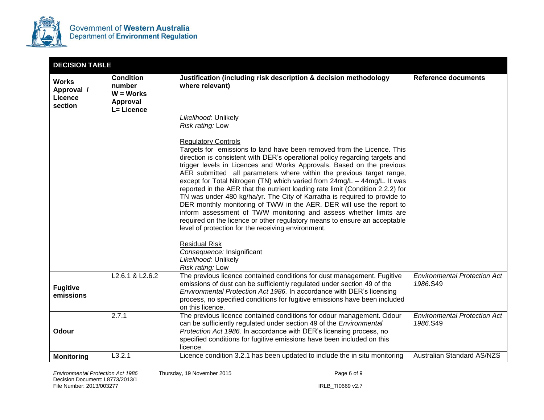

| <b>DECISION TABLE</b>                            |                                                                     |                                                                                                                                                                                                                                                                                                                                                                                                                                                                                                                                                                                                                                                                                                                                                                                                                                                                                                                 |                                                 |
|--------------------------------------------------|---------------------------------------------------------------------|-----------------------------------------------------------------------------------------------------------------------------------------------------------------------------------------------------------------------------------------------------------------------------------------------------------------------------------------------------------------------------------------------------------------------------------------------------------------------------------------------------------------------------------------------------------------------------------------------------------------------------------------------------------------------------------------------------------------------------------------------------------------------------------------------------------------------------------------------------------------------------------------------------------------|-------------------------------------------------|
| <b>Works</b><br>Approval /<br>Licence<br>section | <b>Condition</b><br>number<br>$W = WorkS$<br>Approval<br>L= Licence | Justification (including risk description & decision methodology<br>where relevant)                                                                                                                                                                                                                                                                                                                                                                                                                                                                                                                                                                                                                                                                                                                                                                                                                             | <b>Reference documents</b>                      |
|                                                  |                                                                     | Likelihood: Unlikely<br>Risk rating: Low<br><b>Regulatory Controls</b>                                                                                                                                                                                                                                                                                                                                                                                                                                                                                                                                                                                                                                                                                                                                                                                                                                          |                                                 |
|                                                  |                                                                     | Targets for emissions to land have been removed from the Licence. This<br>direction is consistent with DER's operational policy regarding targets and<br>trigger levels in Licences and Works Approvals. Based on the previous<br>AER submitted all parameters where within the previous target range,<br>except for Total Nitrogen (TN) which varied from 24mg/L - 44mg/L. It was<br>reported in the AER that the nutrient loading rate limit (Condition 2.2.2) for<br>TN was under 480 kg/ha/yr. The City of Karratha is required to provide to<br>DER monthly monitoring of TWW in the AER. DER will use the report to<br>inform assessment of TWW monitoring and assess whether limits are<br>required on the licence or other regulatory means to ensure an acceptable<br>level of protection for the receiving environment.<br><b>Residual Risk</b><br>Consequence: Insignificant<br>Likelihood: Unlikely |                                                 |
| <b>Fugitive</b><br>emissions                     | L <sub>2.6.1</sub> & L <sub>2.6.2</sub>                             | Risk rating: Low<br>The previous licence contained conditions for dust management. Fugitive<br>emissions of dust can be sufficiently regulated under section 49 of the<br>Environmental Protection Act 1986. In accordance with DER's licensing                                                                                                                                                                                                                                                                                                                                                                                                                                                                                                                                                                                                                                                                 | <b>Environmental Protection Act</b><br>1986.S49 |
|                                                  |                                                                     | process, no specified conditions for fugitive emissions have been included<br>on this licence.                                                                                                                                                                                                                                                                                                                                                                                                                                                                                                                                                                                                                                                                                                                                                                                                                  |                                                 |
| <b>Odour</b>                                     | 2.7.1                                                               | The previous licence contained conditions for odour management. Odour<br>can be sufficiently regulated under section 49 of the Environmental<br>Protection Act 1986. In accordance with DER's licensing process, no<br>specified conditions for fugitive emissions have been included on this<br>licence.                                                                                                                                                                                                                                                                                                                                                                                                                                                                                                                                                                                                       | <b>Environmental Protection Act</b><br>1986.S49 |
| <b>Monitoring</b>                                | L3.2.1                                                              | Licence condition 3.2.1 has been updated to include the in situ monitoring                                                                                                                                                                                                                                                                                                                                                                                                                                                                                                                                                                                                                                                                                                                                                                                                                                      | Australian Standard AS/NZS                      |

Environmental Protection Act 1986 Thursday, 19 November 2015 **Page 6 of 9** Page 6 of 9 Decision Document: L8773/2013/1 File Number: 2013/003277 IRLB\_TI0669 v2.7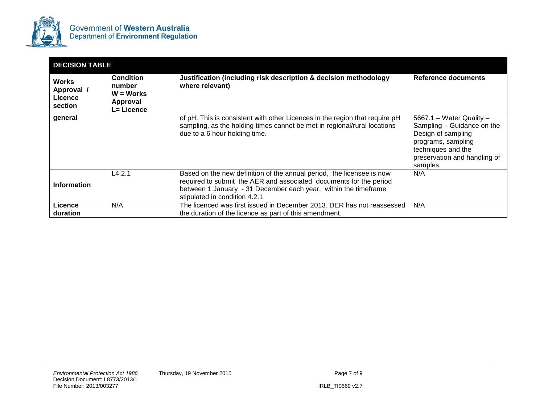

| <b>DECISION TABLE</b>                            |                                                              |                                                                                                                                                                                                                                                 |                                                                                                                                                                      |  |  |
|--------------------------------------------------|--------------------------------------------------------------|-------------------------------------------------------------------------------------------------------------------------------------------------------------------------------------------------------------------------------------------------|----------------------------------------------------------------------------------------------------------------------------------------------------------------------|--|--|
| <b>Works</b><br>Approval /<br>Licence<br>section | Condition<br>number<br>$W = WorkS$<br>Approval<br>L= Licence | Justification (including risk description & decision methodology<br>where relevant)                                                                                                                                                             | Reference documents                                                                                                                                                  |  |  |
| general                                          |                                                              | of pH. This is consistent with other Licences in the region that require pH<br>sampling, as the holding times cannot be met in regional/rural locations<br>due to a 6 hour holding time.                                                        | 5667.1 – Water Quality –<br>Sampling - Guidance on the<br>Design of sampling<br>programs, sampling<br>techniques and the<br>preservation and handling of<br>samples. |  |  |
| <b>Information</b>                               | L4.2.1                                                       | Based on the new definition of the annual period, the licensee is now<br>required to submit the AER and associated documents for the period<br>between 1 January - 31 December each year, within the timeframe<br>stipulated in condition 4.2.1 | N/A                                                                                                                                                                  |  |  |
| Licence<br>duration                              | N/A                                                          | The licenced was first issued in December 2013. DER has not reassessed<br>the duration of the licence as part of this amendment.                                                                                                                | N/A                                                                                                                                                                  |  |  |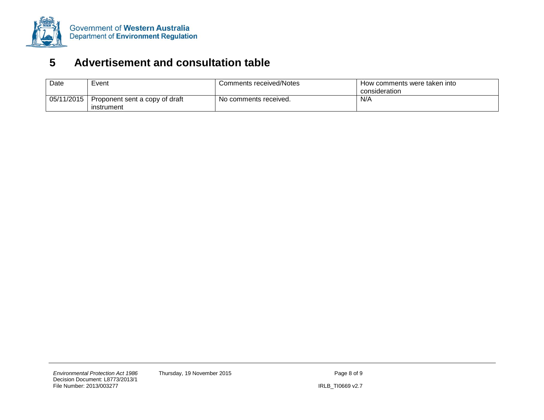

### **5 Advertisement and consultation table**

<span id="page-25-0"></span>

| Date       | Event                                        | Comments received/Notes | How comments were taken into |
|------------|----------------------------------------------|-------------------------|------------------------------|
|            |                                              |                         | consideration                |
| 05/11/2015 | Proponent sent a copy of draft<br>instrument | No comments received.   | N/A                          |